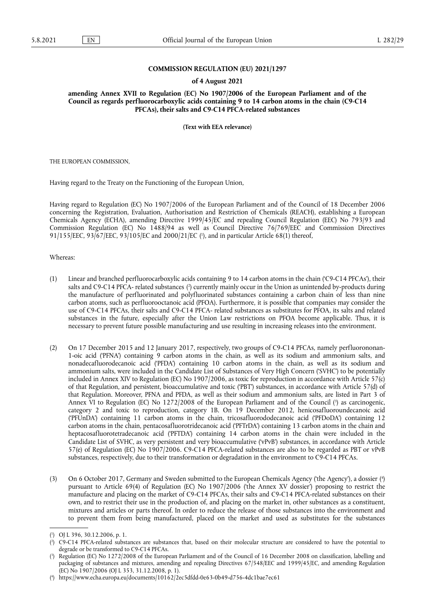## **COMMISSION REGULATION (EU) 2021/1297**

## **of 4 August 2021**

**amending Annex XVII to Regulation (EC) No 1907/2006 of the European Parliament and of the Council as regards perfluorocarboxylic acids containing 9 to 14 carbon atoms in the chain (C9-C14 PFCAs), their salts and C9-C14 PFCA-related substances** 

**(Text with EEA relevance)** 

THE EUROPEAN COMMISSION,

Having regard to the Treaty on the Functioning of the European Union,

Having regard to Regulation (EC) No 1907/2006 of the European Parliament and of the Council of 18 December 2006 concerning the Registration, Evaluation, Authorisation and Restriction of Chemicals (REACH), establishing a European Chemicals Agency (ECHA), amending Directive 1999/45/EC and repealing Council Regulation (EEC) No 793/93 and Commission Regulation (EC) No 1488/94 as well as Council Directive 76/769/EEC and Commission Directives 91/155/EEC, 93/67/EEC, 93/105/EC and 2000/21/EC ( 1 [\),](#page-0-0) and in particular Article 68(1) thereof,

<span id="page-0-4"></span>Whereas:

- <span id="page-0-5"></span>(1) Linear and branched perfluorocarboxylic acids containing 9 to 14 carbon atoms in the chain ('C9-C14 PFCAs'), their salts and C9-C14 PFCA- related substances [\(](#page-0-1) 2 ) currently mainly occur in the Union as unintended by-products during the manufacture of perfluorinated and polyfluorinated substances containing a carbon chain of less than nine carbon atoms, such as perfluorooctanoic acid (PFOA). Furthermore, it is possible that companies may consider the use of C9-C14 PFCAs, their salts and C9-C14 PFCA- related substances as substitutes for PFOA, its salts and related substances in the future, especially after the Union Law restrictions on PFOA become applicable. Thus, it is necessary to prevent future possible manufacturing and use resulting in increasing releases into the environment.
- <span id="page-0-6"></span>(2) On 17 December 2015 and 12 January 2017, respectively, two groups of C9-C14 PFCAs, namely perfluorononan-1-oic acid ('PFNA') containing 9 carbon atoms in the chain, as well as its sodium and ammonium salts, and nonadecafluorodecanoic acid ('PFDA') containing 10 carbon atoms in the chain, as well as its sodium and ammonium salts, were included in the Candidate List of Substances of Very High Concern ('SVHC') to be potentially included in Annex XIV to Regulation (EC) No 1907/2006, as toxic for reproduction in accordance with Article 57(c) of that Regulation, and persistent, bioaccumulative and toxic ('PBT') substances, in accordance with Article 57(d) of that Regulation. Moreover, PFNA and PFDA, as well as their sodium and ammonium salts, are listed in Part 3 of Annex VI to Regulation [\(](#page-0-2)EC) No 1272/2008 of the European Parliament and of the Council (<sup>3</sup>) as carcinogenic, category 2 and toxic to reproduction, category 1B. On 19 December 2012, henicosafluoroundecanoic acid ('PFUnDA') containing 11 carbon atoms in the chain, tricosafluorododecanoic acid ('PFDoDA') containing 12 carbon atoms in the chain, pentacosafluorotridecanoic acid ('PFTrDA') containing 13 carbon atoms in the chain and heptacosafluorotetradecanoic acid ('PFTDA') containing 14 carbon atoms in the chain were included in the Candidate List of SVHC, as very persistent and very bioaccumulative ('vPvB') substances, in accordance with Article 57(e) of Regulation (EC) No 1907/2006. C9-C14 PFCA-related substances are also to be regarded as PBT or vPvB substances, respectively, due to their transformation or degradation in the environment to C9-C14 PFCAs.
- <span id="page-0-7"></span>(3) On 6 October 2017, Germany and Sweden submitted to the European Chemicals Agency ('the Agency'), a dossier [\(](#page-0-3) 4 ) pursuant to Article 69(4) of Regulation (EC) No 1907/2006 ('the Annex XV dossier') proposing to restrict the manufacture and placing on the market of C9-C14 PFCAs, their salts and C9-C14 PFCA-related substances on their own, and to restrict their use in the production of, and placing on the market in, other substances as a constituent, mixtures and articles or parts thereof. In order to reduce the release of those substances into the environment and to prevent them from being manufactured, placed on the market and used as substitutes for the substances

<span id="page-0-0"></span>[<sup>\(</sup>](#page-0-4) 1 ) OJ L 396, 30.12.2006, p. 1.

<span id="page-0-1"></span>[<sup>\(</sup>](#page-0-5) 2 ) C9-C14 PFCA-related substances are substances that, based on their molecular structure are considered to have the potential to degrade or be transformed to C9-C14 PFCAs.

<span id="page-0-2"></span>[<sup>\(</sup>](#page-0-6) 3 ) Regulation (EC) No 1272/2008 of the European Parliament and of the Council of 16 December 2008 on classification, labelling and packaging of substances and mixtures, amending and repealing Directives 67/548/EEC and 1999/45/EC, and amending Regulation (EC) No 1907/2006 (OJ L 353, 31.12.2008, p. 1).

<span id="page-0-3"></span><sup>(</sup> 4 [\)](#page-0-7) <https://www.echa.europa.eu/documents/10162/2ec5dfdd-0e63-0b49-d756-4dc1bae7ec61>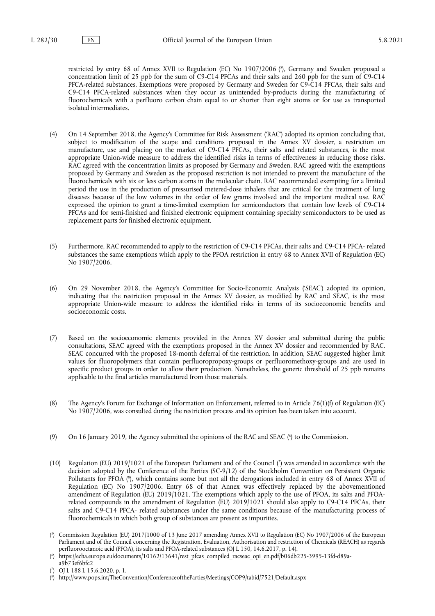<span id="page-1-4"></span>restricted by entry 68 of Annex XVII to Regulation (EC) No 1907/2006 ( 5 [\),](#page-1-0) Germany and Sweden proposed a concentration limit of 25 ppb for the sum of C9-C14 PFCAs and their salts and 260 ppb for the sum of C9-C14 PFCA-related substances. Exemptions were proposed by Germany and Sweden for C9-C14 PFCAs, their salts and C9-C14 PFCA-related substances when they occur as unintended by-products during the manufacturing of fluorochemicals with a perfluoro carbon chain equal to or shorter than eight atoms or for use as transported isolated intermediates.

- (4) On 14 September 2018, the Agency's Committee for Risk Assessment ('RAC') adopted its opinion concluding that, subject to modification of the scope and conditions proposed in the Annex XV dossier, a restriction on manufacture, use and placing on the market of C9-C14 PFCAs, their salts and related substances, is the most appropriate Union-wide measure to address the identified risks in terms of effectiveness in reducing those risks. RAC agreed with the concentration limits as proposed by Germany and Sweden. RAC agreed with the exemptions proposed by Germany and Sweden as the proposed restriction is not intended to prevent the manufacture of the fluorochemicals with six or less carbon atoms in the molecular chain. RAC recommended exempting for a limited period the use in the production of pressurised metered-dose inhalers that are critical for the treatment of lung diseases because of the low volumes in the order of few grams involved and the important medical use. RAC expressed the opinion to grant a time-limited exemption for semiconductors that contain low levels of C9-C14 PFCAs and for semi-finished and finished electronic equipment containing specialty semiconductors to be used as replacement parts for finished electronic equipment.
- (5) Furthermore, RAC recommended to apply to the restriction of C9-C14 PFCAs, their salts and C9-C14 PFCA- related substances the same exemptions which apply to the PFOA restriction in entry 68 to Annex XVII of Regulation (EC) No 1907/2006.
- (6) On 29 November 2018, the Agency's Committee for Socio-Economic Analysis ('SEAC') adopted its opinion, indicating that the restriction proposed in the Annex XV dossier, as modified by RAC and SEAC, is the most appropriate Union-wide measure to address the identified risks in terms of its socioeconomic benefits and socioeconomic costs.
- (7) Based on the socioeconomic elements provided in the Annex XV dossier and submitted during the public consultations, SEAC agreed with the exemptions proposed in the Annex XV dossier and recommended by RAC. SEAC concurred with the proposed 18-month deferral of the restriction. In addition, SEAC suggested higher limit values for fluoropolymers that contain perfluoropropoxy-groups or perfluoromethoxy-groups and are used in specific product groups in order to allow their production. Nonetheless, the generic threshold of 25 ppb remains applicable to the final articles manufactured from those materials.
- (8) The Agency's Forum for Exchange of Information on Enforcement, referred to in Article 76(1)(f) of Regulation (EC) No 1907/2006, was consulted during the restriction process and its opinion has been taken into account.
- <span id="page-1-5"></span>[\(](#page-1-1)9) On 16 January 2019, the Agency submitted the opinions of the RAC and SEAC (°) to the Commission.
- <span id="page-1-7"></span><span id="page-1-6"></span>(10) Regulation (EU) 2019/1021 of the European Parliament and of the Council [\(](#page-1-2) 7 ) was amended in accordance with the decision adopted by the Conference of the Parties (SC-9/12) of the Stockholm Convention on Persistent Organic Pollutants for PFOA [\(](#page-1-3) 8 ), which contains some but not all the derogations included in entry 68 of Annex XVII of Regulation (EC) No 1907/2006. Entry 68 of that Annex was effectively replaced by the abovementioned amendment of Regulation (EU) 2019/1021. The exemptions which apply to the use of PFOA, its salts and PFOArelated compounds in the amendment of Regulation (EU) 2019/1021 should also apply to C9-C14 PFCAs, their salts and C9-C14 PFCA- related substances under the same conditions because of the manufacturing process of fluorochemicals in which both group of substances are present as impurities.

<span id="page-1-0"></span>[<sup>\(</sup>](#page-1-4) 5 ) Commission Regulation (EU) 2017/1000 of 13 June 2017 amending Annex XVII to Regulation (EC) No 1907/2006 of the European Parliament and of the Council concerning the Registration, Evaluation, Authorisation and restriction of Chemicals (REACH) as regards perfluorooctanoic acid (PFOA), its salts and PFOA-related substances (OJ L 150, 14.6.2017, p. 14).

<span id="page-1-1"></span>[<sup>\(</sup>](#page-1-5) 6 ) [https://echa.europa.eu/documents/10162/13641/rest\\_pfcas\\_compiled\\_racseac\\_opi\\_en.pdf/b06db225-3995-13fd-d89a](https://echa.europa.eu/documents/10162/13641/rest_pfcas_compiled_racseac_opi_en.pdf/b06db225-3995-13fd-d89a-a9b73ef6bfc2) $a9b73ef6bfc2$ 

<span id="page-1-2"></span>[<sup>\(</sup>](#page-1-6) 7 ) OJ L 188 I, 15.6.2020, p. 1.

<span id="page-1-3"></span><sup>(</sup> 8 [\)](#page-1-7) <http://www.pops.int/TheConvention/ConferenceoftheParties/Meetings/COP9/tabid/7521/Default.aspx>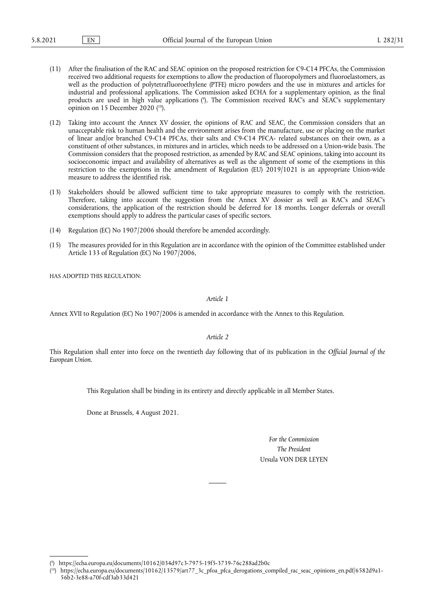- (11) After the finalisation of the RAC and SEAC opinion on the proposed restriction for C9-C14 PFCAs, the Commission received two additional requests for exemptions to allow the production of fluoropolymers and fluoroelastomers, as well as the production of polytetrafluoroethylene (PTFE) micro powders and the use in mixtures and articles for industrial and professional applications. The Commission asked ECHA for a supplementary opinion, as the final products are used in high value applications ( 9 [\).](#page-2-0) The Commission received RAC's and SEAC's supplementary opinion on 15 December 2020 ( [10\)](#page-2-1).
- <span id="page-2-3"></span><span id="page-2-2"></span>(12) Taking into account the Annex XV dossier, the opinions of RAC and SEAC, the Commission considers that an unacceptable risk to human health and the environment arises from the manufacture, use or placing on the market of linear and/or branched C9-C14 PFCAs, their salts and C9-C14 PFCA- related substances on their own, as a constituent of other substances, in mixtures and in articles, which needs to be addressed on a Union-wide basis. The Commission considers that the proposed restriction, as amended by RAC and SEAC opinions, taking into account its socioeconomic impact and availability of alternatives as well as the alignment of some of the exemptions in this restriction to the exemptions in the amendment of Regulation (EU) 2019/1021 is an appropriate Union-wide measure to address the identified risk.
- (13) Stakeholders should be allowed sufficient time to take appropriate measures to comply with the restriction. Therefore, taking into account the suggestion from the Annex XV dossier as well as RAC's and SEAC's considerations, the application of the restriction should be deferred for 18 months. Longer deferrals or overall exemptions should apply to address the particular cases of specific sectors.
- (14) Regulation (EC) No 1907/2006 should therefore be amended accordingly.
- (15) The measures provided for in this Regulation are in accordance with the opinion of the Committee established under Article 133 of Regulation (EC) No 1907/2006,

HAS ADOPTED THIS REGULATION:

*Article 1*

Annex XVII to Regulation (EC) No 1907/2006 is amended in accordance with the Annex to this Regulation.

*Article 2*

This Regulation shall enter into force on the twentieth day following that of its publication in the *Official Journal of the European Union*.

This Regulation shall be binding in its entirety and directly applicable in all Member States.

Done at Brussels, 4 August 2021.

*For the Commission The President* Ursula VON DER LEYEN

<span id="page-2-0"></span>[<sup>\(</sup>](#page-2-2) 9 ) <https://echa.europa.eu/documents/10162/034d97c3-7975-19f5-3739-76c288ad2b0c>

<span id="page-2-1"></span><sup>(</sup> [10\)](#page-2-3) [https://echa.europa.eu/documents/10162/13579/art77\\_3c\\_pfoa\\_pfca\\_derogations\\_compiled\\_rac\\_seac\\_opinions\\_en.pdf/6582d9a1-](https://echa.europa.eu/documents/10162/13579/art77_3c_pfoa_pfca_derogations_compiled_rac_seac_opinions_en.pdf/6582d9a1-56b2-3e88-a70f-cdf3ab33d421) [56b2-3e88-a70f-cdf3ab33d421](https://echa.europa.eu/documents/10162/13579/art77_3c_pfoa_pfca_derogations_compiled_rac_seac_opinions_en.pdf/6582d9a1-56b2-3e88-a70f-cdf3ab33d421)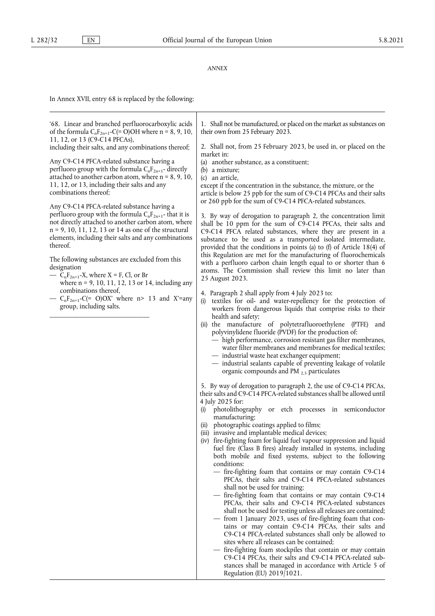## *ANNEX*

In Annex XVII, entry 68 is replaced by the following:

| '68. Linear and branched perfluorocarboxylic acids<br>of the formula $C_nF_{2n+1}-C (= O)OH$ where n = 8, 9, 10,<br>11, 12, or 13 (C9-C14 PFCAs),                                                                                                | 1. Shall not be manufactured, or placed on the market as substances on<br>their own from 25 February 2023.                                                                                                                                                                                                                              |
|--------------------------------------------------------------------------------------------------------------------------------------------------------------------------------------------------------------------------------------------------|-----------------------------------------------------------------------------------------------------------------------------------------------------------------------------------------------------------------------------------------------------------------------------------------------------------------------------------------|
| including their salts, and any combinations thereof;                                                                                                                                                                                             | 2. Shall not, from 25 February 2023, be used in, or placed on the<br>market in:                                                                                                                                                                                                                                                         |
| Any C9-C14 PFCA-related substance having a<br>perfluoro group with the formula $C_nF_{2n+1}$ - directly                                                                                                                                          | (a) another substance, as a constituent;<br>$(b)$ a mixture;                                                                                                                                                                                                                                                                            |
| attached to another carbon atom, where $n = 8, 9, 10$ ,                                                                                                                                                                                          | (c) an article,                                                                                                                                                                                                                                                                                                                         |
| 11, 12, or 13, including their salts and any                                                                                                                                                                                                     | except if the concentration in the substance, the mixture, or the                                                                                                                                                                                                                                                                       |
| combinations thereof;                                                                                                                                                                                                                            | article is below 25 ppb for the sum of C9-C14 PFCAs and their salts                                                                                                                                                                                                                                                                     |
| Any C9-C14 PFCA-related substance having a                                                                                                                                                                                                       | or 260 ppb for the sum of C9-C14 PFCA-related substances.                                                                                                                                                                                                                                                                               |
| perfluoro group with the formula $C_nF_{2n+1}$ - that it is<br>not directly attached to another carbon atom, where<br>$n = 9, 10, 11, 12, 13$ or 14 as one of the structural<br>elements, including their salts and any combinations<br>thereof. | 3. By way of derogation to paragraph 2, the concentration limit<br>shall be 10 ppm for the sum of C9-C14 PFCAs, their salts and<br>C9-C14 PFCA related substances, where they are present in a<br>substance to be used as a transported isolated intermediate,<br>provided that the conditions in points (a) to (f) of Article 18(4) of |
| The following substances are excluded from this                                                                                                                                                                                                  | this Regulation are met for the manufacturing of fluorochemicals<br>with a perfluoro carbon chain length equal to or shorter than 6                                                                                                                                                                                                     |
| designation                                                                                                                                                                                                                                      | atoms. The Commission shall review this limit no later than                                                                                                                                                                                                                                                                             |
| — $C_nF_{2n+1}-X$ , where $X = F$ , Cl, or Br                                                                                                                                                                                                    | 25 August 2023.                                                                                                                                                                                                                                                                                                                         |
| where $n = 9, 10, 11, 12, 13$ or 14, including any<br>combinations thereof,                                                                                                                                                                      |                                                                                                                                                                                                                                                                                                                                         |
| - $C_nF_{2n+1}-C$ (= O)OX' where n> 13 and X'=any<br>group, including salts.                                                                                                                                                                     | 4. Paragraph 2 shall apply from 4 July 2023 to:<br>(i) textiles for oil- and water-repellency for the protection of<br>workers from dangerous liquids that comprise risks to their                                                                                                                                                      |
|                                                                                                                                                                                                                                                  | health and safety;                                                                                                                                                                                                                                                                                                                      |
|                                                                                                                                                                                                                                                  | (ii) the manufacture of polytetrafluoroethylene (PTFE)<br>and                                                                                                                                                                                                                                                                           |
|                                                                                                                                                                                                                                                  | polyvinylidene fluoride (PVDF) for the production of:<br>- high performance, corrosion resistant gas filter membranes,                                                                                                                                                                                                                  |
|                                                                                                                                                                                                                                                  | water filter membranes and membranes for medical textiles;                                                                                                                                                                                                                                                                              |
|                                                                                                                                                                                                                                                  | - industrial waste heat exchanger equipment;                                                                                                                                                                                                                                                                                            |
|                                                                                                                                                                                                                                                  | - industrial sealants capable of preventing leakage of volatile                                                                                                                                                                                                                                                                         |
|                                                                                                                                                                                                                                                  | organic compounds and PM $_{2,5}$ particulates                                                                                                                                                                                                                                                                                          |
|                                                                                                                                                                                                                                                  | 5. By way of derogation to paragraph 2, the use of C9-C14 PFCAs,                                                                                                                                                                                                                                                                        |
|                                                                                                                                                                                                                                                  | their salts and C9-C14 PFCA-related substances shall be allowed until                                                                                                                                                                                                                                                                   |
|                                                                                                                                                                                                                                                  | 4 July 2025 for:                                                                                                                                                                                                                                                                                                                        |
|                                                                                                                                                                                                                                                  | photolithography or etch processes in semiconductor<br>(i)<br>manufacturing;                                                                                                                                                                                                                                                            |
|                                                                                                                                                                                                                                                  | (ii) photographic coatings applied to films;                                                                                                                                                                                                                                                                                            |
|                                                                                                                                                                                                                                                  | (iii) invasive and implantable medical devices;                                                                                                                                                                                                                                                                                         |
|                                                                                                                                                                                                                                                  | (iv) fire-fighting foam for liquid fuel vapour suppression and liquid                                                                                                                                                                                                                                                                   |
|                                                                                                                                                                                                                                                  | fuel fire (Class B fires) already installed in systems, including                                                                                                                                                                                                                                                                       |
|                                                                                                                                                                                                                                                  | both mobile and fixed systems, subject to the following<br>conditions:                                                                                                                                                                                                                                                                  |
|                                                                                                                                                                                                                                                  | - fire-fighting foam that contains or may contain C9-C14                                                                                                                                                                                                                                                                                |
|                                                                                                                                                                                                                                                  | PFCAs, their salts and C9-C14 PFCA-related substances                                                                                                                                                                                                                                                                                   |
|                                                                                                                                                                                                                                                  | shall not be used for training;                                                                                                                                                                                                                                                                                                         |
|                                                                                                                                                                                                                                                  | - fire-fighting foam that contains or may contain C9-C14<br>PFCAs, their salts and C9-C14 PFCA-related substances                                                                                                                                                                                                                       |
|                                                                                                                                                                                                                                                  | shall not be used for testing unless all releases are contained;                                                                                                                                                                                                                                                                        |
|                                                                                                                                                                                                                                                  | - from 1 January 2023, uses of fire-fighting foam that con-                                                                                                                                                                                                                                                                             |
|                                                                                                                                                                                                                                                  | tains or may contain C9-C14 PFCAs, their salts and                                                                                                                                                                                                                                                                                      |
|                                                                                                                                                                                                                                                  | C9-C14 PFCA-related substances shall only be allowed to                                                                                                                                                                                                                                                                                 |
|                                                                                                                                                                                                                                                  | sites where all releases can be contained;<br>fire-fighting foam stockpiles that contain or may contain                                                                                                                                                                                                                                 |
|                                                                                                                                                                                                                                                  | C9-C14 PFCAs, their salts and C9-C14 PFCA-related sub-                                                                                                                                                                                                                                                                                  |
|                                                                                                                                                                                                                                                  | stances shall be managed in accordance with Article 5 of                                                                                                                                                                                                                                                                                |
|                                                                                                                                                                                                                                                  | Regulation (EU) 2019/1021.                                                                                                                                                                                                                                                                                                              |